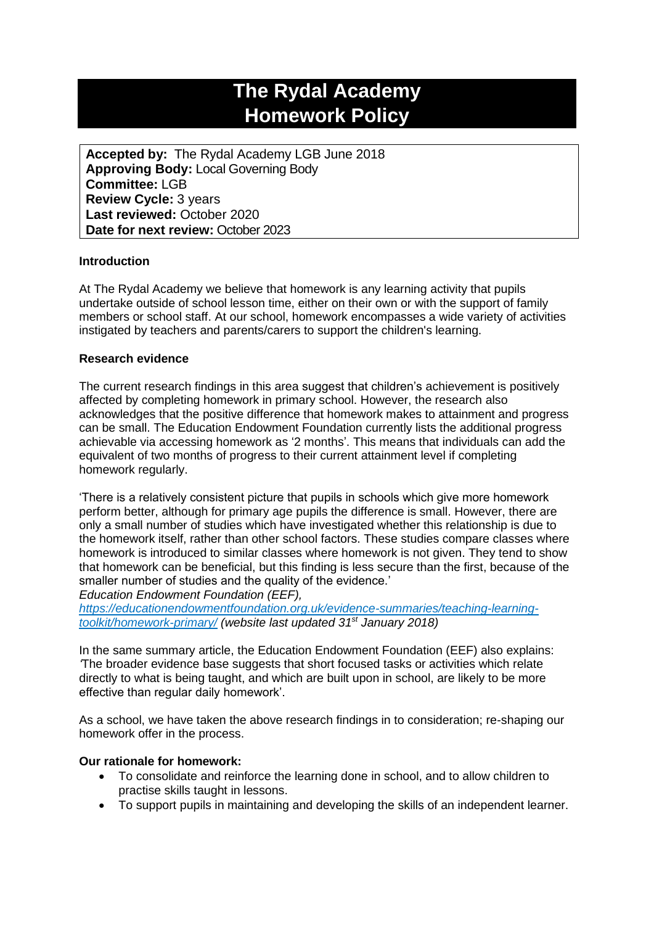# **The Rydal Academy Homework Policy**

**Accepted by:** The Rydal Academy LGB June 2018 **Approving Body:** Local Governing Body **Committee:** LGB **Review Cycle:** 3 years **Last reviewed:** October 2020 **Date for next review:** October 2023

# **Introduction**

At The Rydal Academy we believe that homework is any learning activity that pupils undertake outside of school lesson time, either on their own or with the support of family members or school staff. At our school, homework encompasses a wide variety of activities instigated by teachers and parents/carers to support the children's learning.

#### **Research evidence**

The current research findings in this area suggest that children's achievement is positively affected by completing homework in primary school. However, the research also acknowledges that the positive difference that homework makes to attainment and progress can be small. The Education Endowment Foundation currently lists the additional progress achievable via accessing homework as '2 months'. This means that individuals can add the equivalent of two months of progress to their current attainment level if completing homework regularly.

'There is a relatively consistent picture that pupils in schools which give more homework perform better, although for primary age pupils the difference is small. However, there are only a small number of studies which have investigated whether this relationship is due to the homework itself, rather than other school factors. These studies compare classes where homework is introduced to similar classes where homework is not given. They tend to show that homework can be beneficial, but this finding is less secure than the first, because of the smaller number of studies and the quality of the evidence.' *Education Endowment Foundation (EEF),*

*[https://educationendowmentfoundation.org.uk/evidence-summaries/teaching-learning](https://educationendowmentfoundation.org.uk/evidence-summaries/teaching-learning-toolkit/homework-primary/)[toolkit/homework-primary/](https://educationendowmentfoundation.org.uk/evidence-summaries/teaching-learning-toolkit/homework-primary/) (website last updated 31st January 2018)*

In the same summary article, the Education Endowment Foundation (EEF) also explains: *'*The broader evidence base suggests that short focused tasks or activities which relate directly to what is being taught, and which are built upon in school, are likely to be more effective than regular daily homework'.

As a school, we have taken the above research findings in to consideration; re-shaping our homework offer in the process.

#### **Our rationale for homework:**

- To consolidate and reinforce the learning done in school, and to allow children to practise skills taught in lessons.
- To support pupils in maintaining and developing the skills of an independent learner.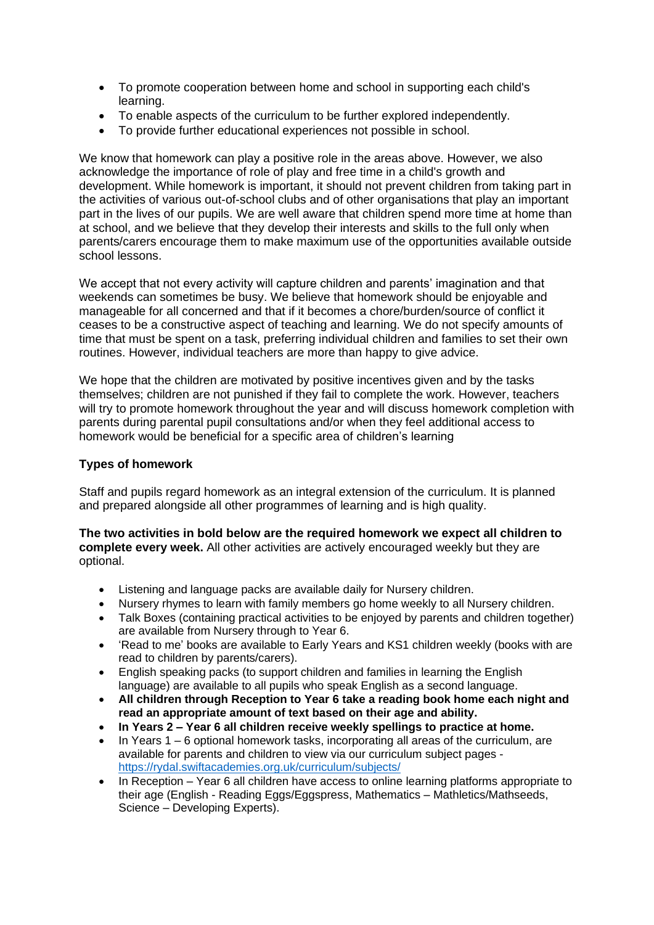- To promote cooperation between home and school in supporting each child's learning.
- To enable aspects of the curriculum to be further explored independently.
- To provide further educational experiences not possible in school.

We know that homework can play a positive role in the areas above. However, we also acknowledge the importance of role of play and free time in a child's growth and development. While homework is important, it should not prevent children from taking part in the activities of various out-of-school clubs and of other organisations that play an important part in the lives of our pupils. We are well aware that children spend more time at home than at school, and we believe that they develop their interests and skills to the full only when parents/carers encourage them to make maximum use of the opportunities available outside school lessons.

We accept that not every activity will capture children and parents' imagination and that weekends can sometimes be busy. We believe that homework should be enjoyable and manageable for all concerned and that if it becomes a chore/burden/source of conflict it ceases to be a constructive aspect of teaching and learning. We do not specify amounts of time that must be spent on a task, preferring individual children and families to set their own routines. However, individual teachers are more than happy to give advice.

We hope that the children are motivated by positive incentives given and by the tasks themselves; children are not punished if they fail to complete the work. However, teachers will try to promote homework throughout the year and will discuss homework completion with parents during parental pupil consultations and/or when they feel additional access to homework would be beneficial for a specific area of children's learning

# **Types of homework**

Staff and pupils regard homework as an integral extension of the curriculum. It is planned and prepared alongside all other programmes of learning and is high quality.

**The two activities in bold below are the required homework we expect all children to complete every week.** All other activities are actively encouraged weekly but they are optional.

- Listening and language packs are available daily for Nursery children.
- Nursery rhymes to learn with family members go home weekly to all Nursery children.
- Talk Boxes (containing practical activities to be enjoyed by parents and children together) are available from Nursery through to Year 6.
- 'Read to me' books are available to Early Years and KS1 children weekly (books with are read to children by parents/carers).
- English speaking packs (to support children and families in learning the English language) are available to all pupils who speak English as a second language.
- **All children through Reception to Year 6 take a reading book home each night and read an appropriate amount of text based on their age and ability.**
- **In Years 2 – Year 6 all children receive weekly spellings to practice at home.**
- $\bullet$  In Years 1 6 optional homework tasks, incorporating all areas of the curriculum, are available for parents and children to view via our curriculum subject pages <https://rydal.swiftacademies.org.uk/curriculum/subjects/>
- In Reception Year 6 all children have access to online learning platforms appropriate to their age (English - Reading Eggs/Eggspress, Mathematics – Mathletics/Mathseeds, Science – Developing Experts).